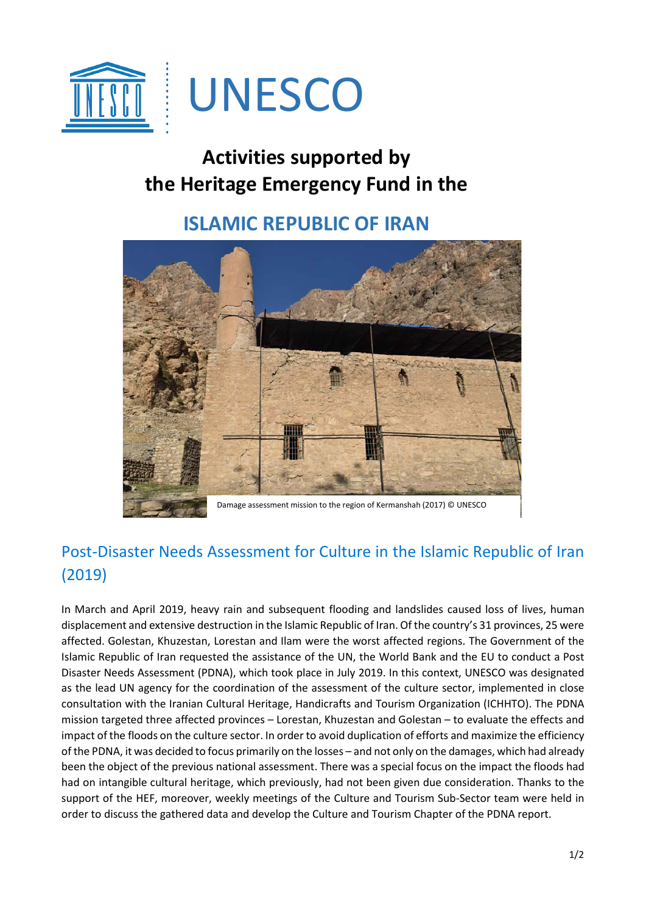

# **Activities supported by the Heritage Emergency Fund in the**

## **ISLAMIC REPUBLIC OF IRAN**



### Post-Disaster Needs Assessment for Culture in the Islamic Republic of Iran (2019)

In March and April 2019, heavy rain and subsequent flooding and landslides caused loss of lives, human displacement and extensive destruction in the Islamic Republic of Iran. Of the country's 31 provinces, 25 were affected. Golestan, Khuzestan, Lorestan and Ilam were the worst affected regions. The Government of the Islamic Republic of Iran requested the assistance of the UN, the World Bank and the EU to conduct a Post Disaster Needs Assessment (PDNA), which took place in July 2019. In this context, UNESCO was designated as the lead UN agency for the coordination of the assessment of the culture sector, implemented in close consultation with the Iranian Cultural Heritage, Handicrafts and Tourism Organization (ICHHTO). The PDNA mission targeted three affected provinces – Lorestan, Khuzestan and Golestan – to evaluate the effects and impact of the floods on the culture sector. In order to avoid duplication of efforts and maximize the efficiency of the PDNA, it was decided to focus primarily on the losses – and not only on the damages, which had already been the object of the previous national assessment. There was a special focus on the impact the floods had had on intangible cultural heritage, which previously, had not been given due consideration. Thanks to the support of the HEF, moreover, weekly meetings of the Culture and Tourism Sub-Sector team were held in order to discuss the gathered data and develop the Culture and Tourism Chapter of the PDNA report.